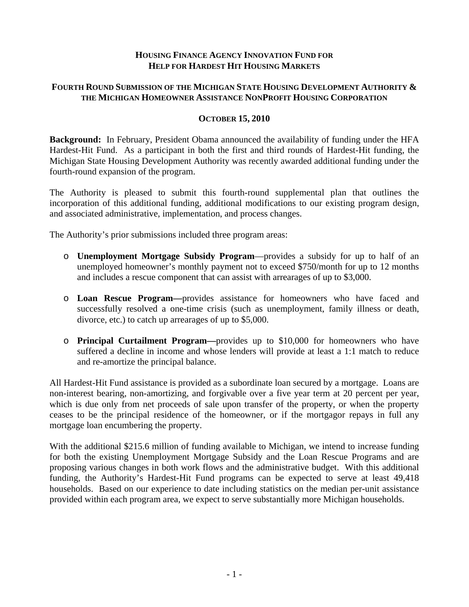## **HOUSING FINANCE AGENCY INNOVATION FUND FOR HELP FOR HARDEST HIT HOUSING MARKETS**

## **FOURTH ROUND SUBMISSION OF THE MICHIGAN STATE HOUSING DEVELOPMENT AUTHORITY & THE MICHIGAN HOMEOWNER ASSISTANCE NONPROFIT HOUSING CORPORATION**

## **OCTOBER 15, 2010**

**Background:** In February, President Obama announced the availability of funding under the HFA Hardest-Hit Fund. As a participant in both the first and third rounds of Hardest-Hit funding, the Michigan State Housing Development Authority was recently awarded additional funding under the fourth-round expansion of the program.

The Authority is pleased to submit this fourth-round supplemental plan that outlines the incorporation of this additional funding, additional modifications to our existing program design, and associated administrative, implementation, and process changes.

The Authority's prior submissions included three program areas:

- o **Unemployment Mortgage Subsidy Program**—provides a subsidy for up to half of an unemployed homeowner's monthly payment not to exceed \$750/month for up to 12 months and includes a rescue component that can assist with arrearages of up to \$3,000.
- o **Loan Rescue Program—**provides assistance for homeowners who have faced and successfully resolved a one-time crisis (such as unemployment, family illness or death, divorce, etc.) to catch up arrearages of up to \$5,000.
- o **Principal Curtailment Program—**provides up to \$10,000 for homeowners who have suffered a decline in income and whose lenders will provide at least a 1:1 match to reduce and re-amortize the principal balance.

All Hardest-Hit Fund assistance is provided as a subordinate loan secured by a mortgage. Loans are non-interest bearing, non-amortizing, and forgivable over a five year term at 20 percent per year, which is due only from net proceeds of sale upon transfer of the property, or when the property ceases to be the principal residence of the homeowner, or if the mortgagor repays in full any mortgage loan encumbering the property.

With the additional \$215.6 million of funding available to Michigan, we intend to increase funding for both the existing Unemployment Mortgage Subsidy and the Loan Rescue Programs and are proposing various changes in both work flows and the administrative budget. With this additional funding, the Authority's Hardest-Hit Fund programs can be expected to serve at least 49,418 households. Based on our experience to date including statistics on the median per-unit assistance provided within each program area, we expect to serve substantially more Michigan households.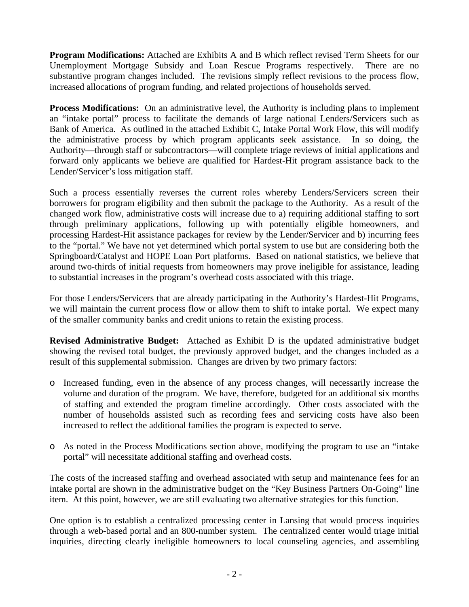**Program Modifications:** Attached are Exhibits A and B which reflect revised Term Sheets for our Unemployment Mortgage Subsidy and Loan Rescue Programs respectively. There are no substantive program changes included. The revisions simply reflect revisions to the process flow, increased allocations of program funding, and related projections of households served.

**Process Modifications:** On an administrative level, the Authority is including plans to implement an "intake portal" process to facilitate the demands of large national Lenders/Servicers such as Bank of America. As outlined in the attached Exhibit C, Intake Portal Work Flow, this will modify the administrative process by which program applicants seek assistance. In so doing, the Authority—through staff or subcontractors—will complete triage reviews of initial applications and forward only applicants we believe are qualified for Hardest-Hit program assistance back to the Lender/Servicer's loss mitigation staff.

Such a process essentially reverses the current roles whereby Lenders/Servicers screen their borrowers for program eligibility and then submit the package to the Authority. As a result of the changed work flow, administrative costs will increase due to a) requiring additional staffing to sort through preliminary applications, following up with potentially eligible homeowners, and processing Hardest-Hit assistance packages for review by the Lender/Servicer and b) incurring fees to the "portal." We have not yet determined which portal system to use but are considering both the Springboard/Catalyst and HOPE Loan Port platforms. Based on national statistics, we believe that around two-thirds of initial requests from homeowners may prove ineligible for assistance, leading to substantial increases in the program's overhead costs associated with this triage.

For those Lenders/Servicers that are already participating in the Authority's Hardest-Hit Programs, we will maintain the current process flow or allow them to shift to intake portal. We expect many of the smaller community banks and credit unions to retain the existing process.

**Revised Administrative Budget:** Attached as Exhibit D is the updated administrative budget showing the revised total budget, the previously approved budget, and the changes included as a result of this supplemental submission. Changes are driven by two primary factors:

- o Increased funding, even in the absence of any process changes, will necessarily increase the volume and duration of the program. We have, therefore, budgeted for an additional six months of staffing and extended the program timeline accordingly. Other costs associated with the number of households assisted such as recording fees and servicing costs have also been increased to reflect the additional families the program is expected to serve.
- o As noted in the Process Modifications section above, modifying the program to use an "intake portal" will necessitate additional staffing and overhead costs.

The costs of the increased staffing and overhead associated with setup and maintenance fees for an intake portal are shown in the administrative budget on the "Key Business Partners On-Going" line item. At this point, however, we are still evaluating two alternative strategies for this function.

One option is to establish a centralized processing center in Lansing that would process inquiries through a web-based portal and an 800-number system. The centralized center would triage initial inquiries, directing clearly ineligible homeowners to local counseling agencies, and assembling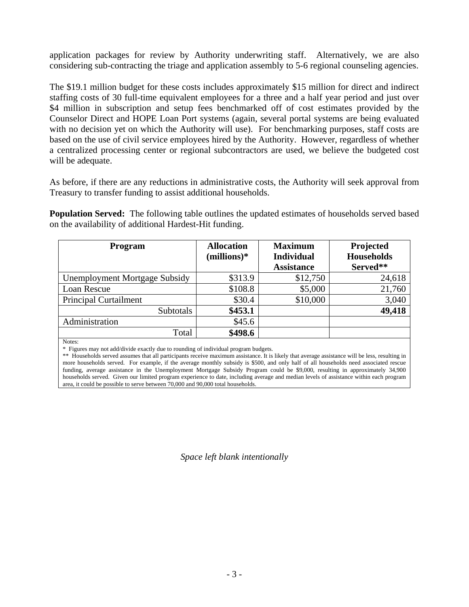application packages for review by Authority underwriting staff. Alternatively, we are also considering sub-contracting the triage and application assembly to 5-6 regional counseling agencies.

The \$19.1 million budget for these costs includes approximately \$15 million for direct and indirect staffing costs of 30 full-time equivalent employees for a three and a half year period and just over \$4 million in subscription and setup fees benchmarked off of cost estimates provided by the Counselor Direct and HOPE Loan Port systems (again, several portal systems are being evaluated with no decision yet on which the Authority will use). For benchmarking purposes, staff costs are based on the use of civil service employees hired by the Authority. However, regardless of whether a centralized processing center or regional subcontractors are used, we believe the budgeted cost will be adequate.

As before, if there are any reductions in administrative costs, the Authority will seek approval from Treasury to transfer funding to assist additional households.

**Population Served:** The following table outlines the updated estimates of households served based on the availability of additional Hardest-Hit funding.

| <b>Program</b>                       | <b>Allocation</b><br>$(millions)*$ | <b>Maximum</b><br><b>Individual</b><br><b>Assistance</b> | Projected<br><b>Households</b><br>Served** |
|--------------------------------------|------------------------------------|----------------------------------------------------------|--------------------------------------------|
| <b>Unemployment Mortgage Subsidy</b> | \$313.9                            | \$12,750                                                 | 24,618                                     |
| Loan Rescue                          | \$108.8                            | \$5,000                                                  | 21,760                                     |
| <b>Principal Curtailment</b>         | \$30.4                             | \$10,000                                                 | 3,040                                      |
| Subtotals                            | \$453.1                            |                                                          | 49,418                                     |
| Administration                       | \$45.6                             |                                                          |                                            |
| Total                                | \$498.6                            |                                                          |                                            |

Notes:

\* Figures may not add/divide exactly due to rounding of individual program budgets.

\*\* Households served assumes that all participants receive maximum assistance. It is likely that average assistance will be less, resulting in more households served. For example, if the average monthly subsidy is \$500, and only half of all households need associated rescue funding, average assistance in the Unemployment Mortgage Subsidy Program could be \$9,000, resulting in approximately 34,900 households served. Given our limited program experience to date, including average and median levels of assistance within each program area, it could be possible to serve between 70,000 and 90,000 total households.

*Space left blank intentionally*